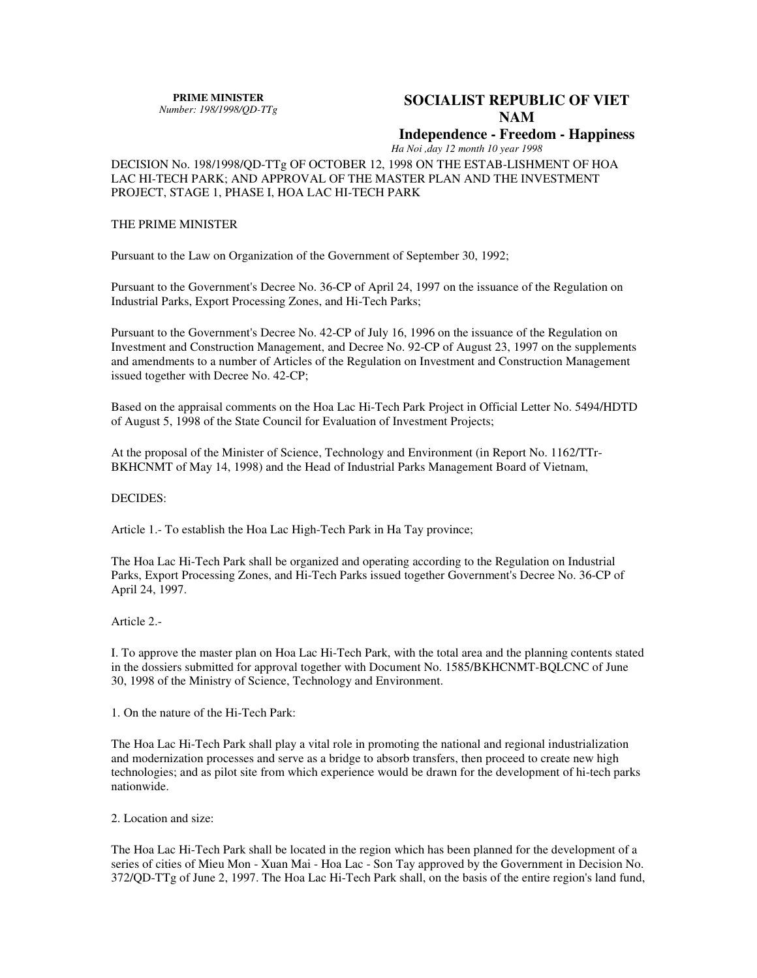**PRIME MINISTER** *Number: 198/1998/QD-TTg* 

# **SOCIALIST REPUBLIC OF VIET NAM**

# **Independence - Freedom - Happiness**

*Ha Noi ,day 12 month 10 year 1998* 

DECISION No. 198/1998/QD-TTg OF OCTOBER 12, 1998 ON THE ESTAB-LISHMENT OF HOA LAC HI-TECH PARK; AND APPROVAL OF THE MASTER PLAN AND THE INVESTMENT PROJECT, STAGE 1, PHASE I, HOA LAC HI-TECH PARK

#### THE PRIME MINISTER

Pursuant to the Law on Organization of the Government of September 30, 1992;

Pursuant to the Government's Decree No. 36-CP of April 24, 1997 on the issuance of the Regulation on Industrial Parks, Export Processing Zones, and Hi-Tech Parks;

Pursuant to the Government's Decree No. 42-CP of July 16, 1996 on the issuance of the Regulation on Investment and Construction Management, and Decree No. 92-CP of August 23, 1997 on the supplements and amendments to a number of Articles of the Regulation on Investment and Construction Management issued together with Decree No. 42-CP;

Based on the appraisal comments on the Hoa Lac Hi-Tech Park Project in Official Letter No. 5494/HDTD of August 5, 1998 of the State Council for Evaluation of Investment Projects;

At the proposal of the Minister of Science, Technology and Environment (in Report No. 1162/TTr-BKHCNMT of May 14, 1998) and the Head of Industrial Parks Management Board of Vietnam,

## DECIDES:

Article 1.- To establish the Hoa Lac High-Tech Park in Ha Tay province;

The Hoa Lac Hi-Tech Park shall be organized and operating according to the Regulation on Industrial Parks, Export Processing Zones, and Hi-Tech Parks issued together Government's Decree No. 36-CP of April 24, 1997.

### Article 2.-

I. To approve the master plan on Hoa Lac Hi-Tech Park, with the total area and the planning contents stated in the dossiers submitted for approval together with Document No. 1585/BKHCNMT-BQLCNC of June 30, 1998 of the Ministry of Science, Technology and Environment.

1. On the nature of the Hi-Tech Park:

The Hoa Lac Hi-Tech Park shall play a vital role in promoting the national and regional industrialization and modernization processes and serve as a bridge to absorb transfers, then proceed to create new high technologies; and as pilot site from which experience would be drawn for the development of hi-tech parks nationwide.

#### 2. Location and size:

The Hoa Lac Hi-Tech Park shall be located in the region which has been planned for the development of a series of cities of Mieu Mon - Xuan Mai - Hoa Lac - Son Tay approved by the Government in Decision No. 372/QD-TTg of June 2, 1997. The Hoa Lac Hi-Tech Park shall, on the basis of the entire region's land fund,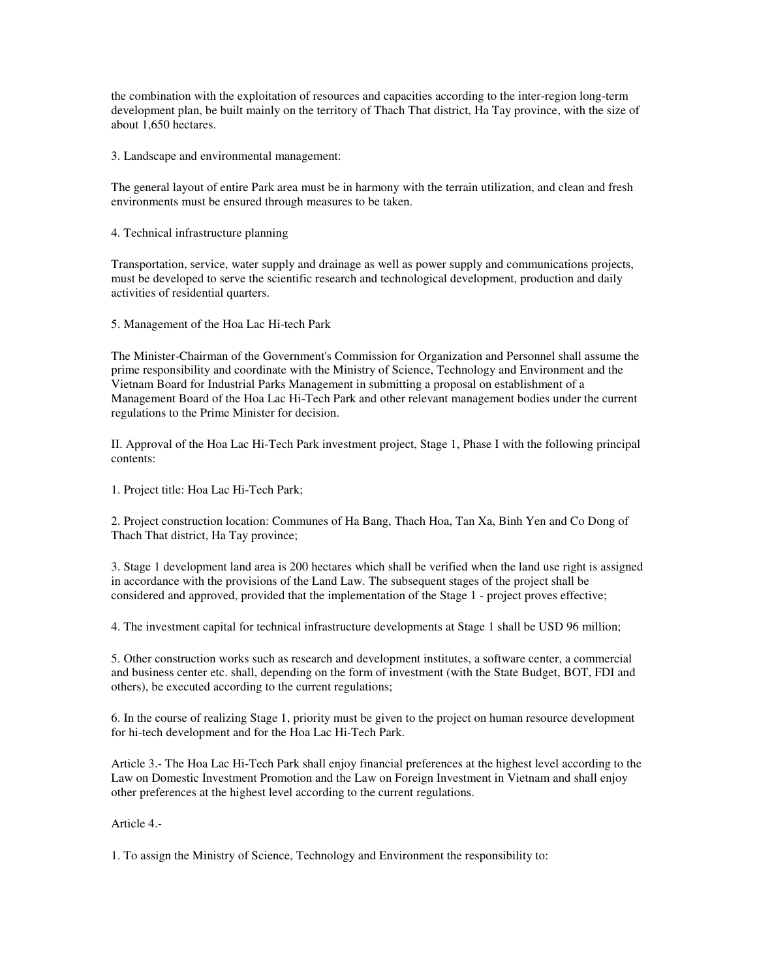the combination with the exploitation of resources and capacities according to the inter-region long-term development plan, be built mainly on the territory of Thach That district, Ha Tay province, with the size of about 1,650 hectares.

3. Landscape and environmental management:

The general layout of entire Park area must be in harmony with the terrain utilization, and clean and fresh environments must be ensured through measures to be taken.

4. Technical infrastructure planning

Transportation, service, water supply and drainage as well as power supply and communications projects, must be developed to serve the scientific research and technological development, production and daily activities of residential quarters.

5. Management of the Hoa Lac Hi-tech Park

The Minister-Chairman of the Government's Commission for Organization and Personnel shall assume the prime responsibility and coordinate with the Ministry of Science, Technology and Environment and the Vietnam Board for Industrial Parks Management in submitting a proposal on establishment of a Management Board of the Hoa Lac Hi-Tech Park and other relevant management bodies under the current regulations to the Prime Minister for decision.

II. Approval of the Hoa Lac Hi-Tech Park investment project, Stage 1, Phase I with the following principal contents:

1. Project title: Hoa Lac Hi-Tech Park;

2. Project construction location: Communes of Ha Bang, Thach Hoa, Tan Xa, Binh Yen and Co Dong of Thach That district, Ha Tay province;

3. Stage 1 development land area is 200 hectares which shall be verified when the land use right is assigned in accordance with the provisions of the Land Law. The subsequent stages of the project shall be considered and approved, provided that the implementation of the Stage 1 - project proves effective;

4. The investment capital for technical infrastructure developments at Stage 1 shall be USD 96 million;

5. Other construction works such as research and development institutes, a software center, a commercial and business center etc. shall, depending on the form of investment (with the State Budget, BOT, FDI and others), be executed according to the current regulations;

6. In the course of realizing Stage 1, priority must be given to the project on human resource development for hi-tech development and for the Hoa Lac Hi-Tech Park.

Article 3.- The Hoa Lac Hi-Tech Park shall enjoy financial preferences at the highest level according to the Law on Domestic Investment Promotion and the Law on Foreign Investment in Vietnam and shall enjoy other preferences at the highest level according to the current regulations.

Article 4.-

1. To assign the Ministry of Science, Technology and Environment the responsibility to: